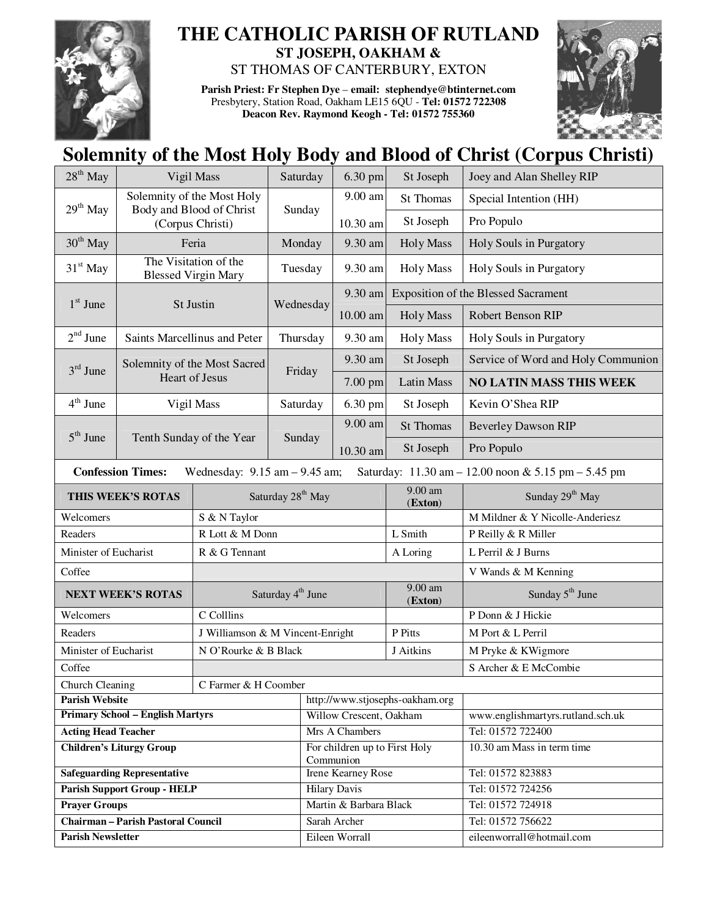

## **THE CATHOLIC PARISH OF RUTLAND ST JOSEPH, OAKHAM &**

ST THOMAS OF CANTERBURY, EXTON

**Parish Priest: Fr Stephen Dye** – **email: stephendye@btinternet.com** Presbytery, Station Road, Oakham LE15 6QU - **Tel: 01572 722308 Deacon Rev. Raymond Keogh - Tel: 01572 755360** 



## **Solemnity of the Most Holy Body and Blood of Christ (Corpus Christi)**

| $28th$ May<br>Vigil Mass                         |                                                                                                                      |                               | Saturday                         | 6.30 pm                                    | St Joseph               | Joey and Alan Shelley RIP                  |  |  |
|--------------------------------------------------|----------------------------------------------------------------------------------------------------------------------|-------------------------------|----------------------------------|--------------------------------------------|-------------------------|--------------------------------------------|--|--|
| 29 <sup>th</sup> May<br>Body and Blood of Christ |                                                                                                                      | Solemnity of the Most Holy    | Sunday                           | $9.00$ am                                  | St Thomas               | Special Intention (HH)                     |  |  |
|                                                  |                                                                                                                      | (Corpus Christi)              |                                  | 10.30 am                                   | St Joseph               | Pro Populo                                 |  |  |
| $30th$ May<br>Feria                              |                                                                                                                      | Monday                        | 9.30 am                          | <b>Holy Mass</b>                           | Holy Souls in Purgatory |                                            |  |  |
| $31st$ May                                       | The Visitation of the<br><b>Blessed Virgin Mary</b>                                                                  |                               | Tuesday                          | 9.30 am                                    | <b>Holy Mass</b>        | Holy Souls in Purgatory                    |  |  |
| $1st$ June<br>St Justin                          |                                                                                                                      |                               | Wednesday                        | 9.30 am                                    |                         | <b>Exposition of the Blessed Sacrament</b> |  |  |
|                                                  |                                                                                                                      |                               |                                  | 10.00 am                                   | <b>Holy Mass</b>        | Robert Benson RIP                          |  |  |
| $2nd$ June                                       | Saints Marcellinus and Peter                                                                                         |                               | Thursday                         | 9.30 am                                    | <b>Holy Mass</b>        | Holy Souls in Purgatory                    |  |  |
| $3rd$ June<br><b>Heart of Jesus</b>              |                                                                                                                      | Solemnity of the Most Sacred  | Friday                           | 9.30 am                                    | St Joseph               | Service of Word and Holy Communion         |  |  |
|                                                  |                                                                                                                      |                               |                                  | 7.00 pm                                    | <b>Latin Mass</b>       | <b>NO LATIN MASS THIS WEEK</b>             |  |  |
| $4th$ June                                       | Vigil Mass                                                                                                           |                               | Saturday                         | 6.30 pm                                    | St Joseph               | Kevin O'Shea RIP                           |  |  |
|                                                  |                                                                                                                      | Tenth Sunday of the Year      | Sunday                           | 9.00 am                                    | <b>St Thomas</b>        | <b>Beverley Dawson RIP</b>                 |  |  |
| $5th$ June                                       |                                                                                                                      |                               |                                  | 10.30 am                                   | St Joseph               | Pro Populo                                 |  |  |
|                                                  | <b>Confession Times:</b><br>Wednesday: $9.15$ am $- 9.45$ am;<br>Saturday: 11.30 am - 12.00 noon & 5.15 pm - 5.45 pm |                               |                                  |                                            |                         |                                            |  |  |
| THIS WEEK'S ROTAS                                |                                                                                                                      |                               | Saturday 28 <sup>th</sup> May    |                                            | 9.00 am<br>(Exton)      | Sunday 29 <sup>th</sup> May                |  |  |
| Welcomers                                        |                                                                                                                      | S & N Taylor                  |                                  |                                            |                         | M Mildner & Y Nicolle-Anderiesz            |  |  |
| Readers                                          |                                                                                                                      | R Lott & M Donn               |                                  |                                            | L Smith                 | P Reilly & R Miller                        |  |  |
| Minister of Eucharist                            |                                                                                                                      | R & G Tennant                 |                                  |                                            | A Loring                | L Perril & J Burns                         |  |  |
| Coffee                                           |                                                                                                                      |                               |                                  |                                            |                         | V Wands & M Kenning                        |  |  |
| <b>NEXT WEEK'S ROTAS</b>                         |                                                                                                                      | Saturday 4 <sup>th</sup> June |                                  |                                            | 9.00 am<br>(Exton)      | Sunday 5 <sup>th</sup> June                |  |  |
| Welcomers                                        |                                                                                                                      | C Colllins                    |                                  |                                            |                         | P Donn & J Hickie                          |  |  |
| Readers                                          |                                                                                                                      |                               | J Williamson & M Vincent-Enright |                                            |                         | M Port & L Perril                          |  |  |
| Minister of Eucharist                            |                                                                                                                      |                               | N O'Rourke & B Black             |                                            |                         | M Pryke & KWigmore                         |  |  |
| Coffee                                           |                                                                                                                      |                               |                                  |                                            |                         | S Archer & E McCombie                      |  |  |
| Church Cleaning                                  |                                                                                                                      | C Farmer & H Coomber          |                                  |                                            |                         |                                            |  |  |
| <b>Parish Website</b>                            |                                                                                                                      |                               |                                  | http://www.stjosephs-oakham.org            |                         |                                            |  |  |
| <b>Primary School - English Martyrs</b>          |                                                                                                                      |                               |                                  | Willow Crescent, Oakham                    |                         | www.englishmartyrs.rutland.sch.uk          |  |  |
| <b>Acting Head Teacher</b>                       |                                                                                                                      |                               |                                  | Mrs A Chambers                             |                         | Tel: 01572 722400                          |  |  |
| <b>Children's Liturgy Group</b>                  |                                                                                                                      |                               |                                  | For children up to First Holy<br>Communion |                         | 10.30 am Mass in term time                 |  |  |
| <b>Safeguarding Representative</b>               |                                                                                                                      |                               |                                  | Irene Kearney Rose                         |                         | Tel: 01572 823883                          |  |  |
| <b>Parish Support Group - HELP</b>               |                                                                                                                      |                               |                                  | <b>Hilary Davis</b>                        |                         | Tel: 01572 724256                          |  |  |
| <b>Prayer Groups</b>                             |                                                                                                                      |                               |                                  | Martin & Barbara Black                     |                         | Tel: 01572 724918                          |  |  |
| <b>Chairman - Parish Pastoral Council</b>        |                                                                                                                      |                               |                                  | Sarah Archer                               |                         | Tel: 01572 756622                          |  |  |
| <b>Parish Newsletter</b>                         |                                                                                                                      |                               |                                  | Eileen Worrall                             |                         | eileenworrall@hotmail.com                  |  |  |